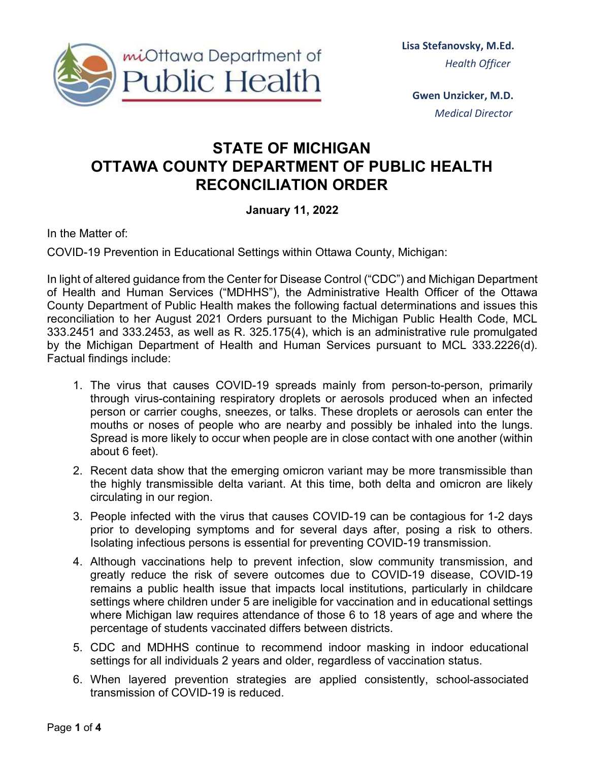

 **Gwen Unzicker, M.D.** *Medical Director*

## **STATE OF MICHIGAN OTTAWA COUNTY DEPARTMENT OF PUBLIC HEALTH RECONCILIATION ORDER**

## **January 11, 2022**

In the Matter of:

COVID-19 Prevention in Educational Settings within Ottawa County, Michigan:

In light of altered guidance from the Center for Disease Control ("CDC") and Michigan Department of Health and Human Services ("MDHHS"), the Administrative Health Officer of the Ottawa County Department of Public Health makes the following factual determinations and issues this reconciliation to her August 2021 Orders pursuant to the Michigan Public Health Code, MCL 333.2451 and 333.2453, as well as R. 325.175(4), which is an administrative rule promulgated by the Michigan Department of Health and Human Services pursuant to MCL 333.2226(d). Factual findings include:

- 1. The virus that causes COVID-19 spreads mainly from person-to-person, primarily through virus-containing respiratory droplets or aerosols produced when an infected person or carrier coughs, sneezes, or talks. These droplets or aerosols can enter the mouths or noses of people who are nearby and possibly be inhaled into the lungs. Spread is more likely to occur when people are in close contact with one another (within about 6 feet).
- 2. Recent data show that the emerging omicron variant may be more transmissible than the highly transmissible delta variant. At this time, both delta and omicron are likely circulating in our region.
- 3. People infected with the virus that causes COVID-19 can be contagious for 1-2 days prior to developing symptoms and for several days after, posing a risk to others. Isolating infectious persons is essential for preventing COVID-19 transmission.
- 4. Although vaccinations help to prevent infection, slow community transmission, and greatly reduce the risk of severe outcomes due to COVID-19 disease, COVID-19 remains a public health issue that impacts local institutions, particularly in childcare settings where children under 5 are ineligible for vaccination and in educational settings where Michigan law requires attendance of those 6 to 18 years of age and where the percentage of students vaccinated differs between districts.
- 5. CDC and MDHHS continue to recommend indoor masking in indoor educational settings for all individuals 2 years and older, regardless of vaccination status.
- 6. When layered prevention strategies are applied consistently, school-associated transmission of COVID-19 is reduced.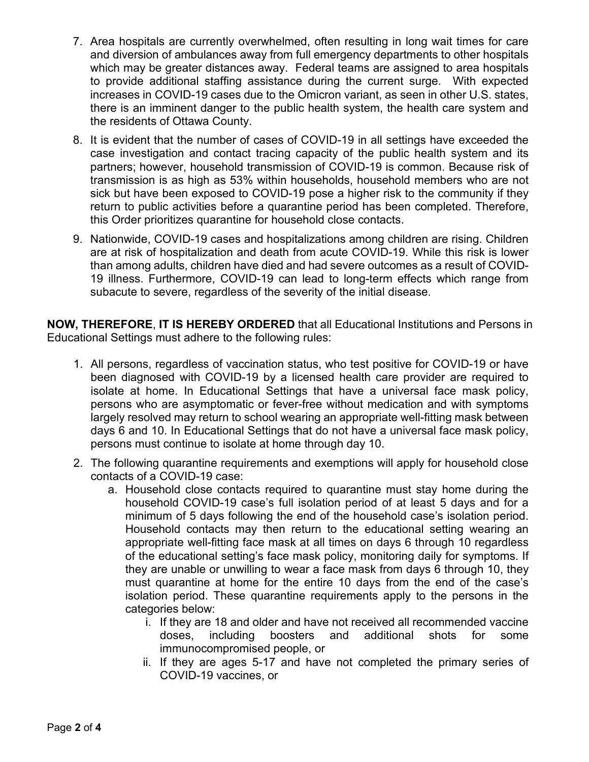- 7. Area hospitals are currently overwhelmed, often resulting in long wait times for care and diversion of ambulances away from full emergency departments to other hospitals which may be greater distances away. Federal teams are assigned to area hospitals to provide additional staffing assistance during the current surge. With expected increases in COVID-19 cases due to the Omicron variant, as seen in other U.S. states, there is an imminent danger to the public health system, the health care system and the residents of Ottawa County.
- 8. It is evident that the number of cases of COVID-19 in all settings have exceeded the case investigation and contact tracing capacity of the public health system and its partners; however, household transmission of COVID-19 is common. Because risk of transmission is as high as 53% within households, household members who are not sick but have been exposed to COVID-19 pose a higher risk to the community if they return to public activities before a quarantine period has been completed. Therefore, this Order prioritizes quarantine for household close contacts.
- 9. Nationwide, COVID-19 cases and hospitalizations among children are rising. Children are at risk of hospitalization and death from acute COVID-19. While this risk is lower than among adults, children have died and had severe outcomes as a result of COVID-19 illness. Furthermore, COVID-19 can lead to long-term effects which range from subacute to severe, regardless of the severity of the initial disease.

**NOW, THEREFORE**, **IT IS HEREBY ORDERED** that all Educational Institutions and Persons in Educational Settings must adhere to the following rules:

- 1. All persons, regardless of vaccination status, who test positive for COVID-19 or have been diagnosed with COVID-19 by a licensed health care provider are required to isolate at home. In Educational Settings that have a universal face mask policy, persons who are asymptomatic or fever-free without medication and with symptoms largely resolved may return to school wearing an appropriate well-fitting mask between days 6 and 10. In Educational Settings that do not have a universal face mask policy, persons must continue to isolate at home through day 10.
- 2. The following quarantine requirements and exemptions will apply for household close contacts of a COVID-19 case:
	- a. Household close contacts required to quarantine must stay home during the household COVID-19 case's full isolation period of at least 5 days and for a minimum of 5 days following the end of the household case's isolation period. Household contacts may then return to the educational setting wearing an appropriate well-fitting face mask at all times on days 6 through 10 regardless of the educational setting's face mask policy, monitoring daily for symptoms. If they are unable or unwilling to wear a face mask from days 6 through 10, they must quarantine at home for the entire 10 days from the end of the case's isolation period. These quarantine requirements apply to the persons in the categories below:
		- i. If they are 18 and older and have not received all recommended vaccine doses, including boosters and additional shots for some immunocompromised people, or
		- ii. If they are ages 5-17 and have not completed the primary series of COVID-19 vaccines, or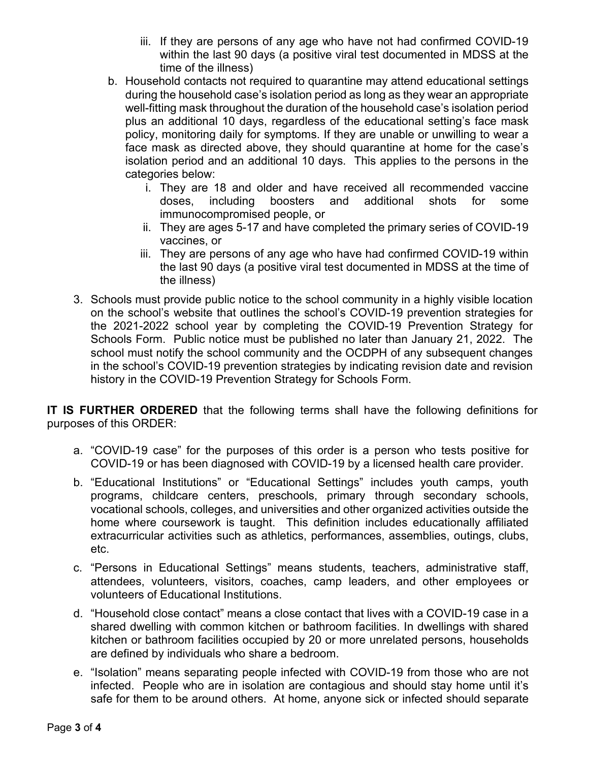- iii. If they are persons of any age who have not had confirmed COVID-19 within the last 90 days (a positive viral test documented in MDSS at the time of the illness)
- b. Household contacts not required to quarantine may attend educational settings during the household case's isolation period as long as they wear an appropriate well-fitting mask throughout the duration of the household case's isolation period plus an additional 10 days, regardless of the educational setting's face mask policy, monitoring daily for symptoms. If they are unable or unwilling to wear a face mask as directed above, they should quarantine at home for the case's isolation period and an additional 10 days. This applies to the persons in the categories below:
	- i. They are 18 and older and have received all recommended vaccine doses, including boosters and additional shots for some immunocompromised people, or
	- ii. They are ages 5-17 and have completed the primary series of COVID-19 vaccines, or
	- iii. They are persons of any age who have had confirmed COVID-19 within the last 90 days (a positive viral test documented in MDSS at the time of the illness)
- 3. Schools must provide public notice to the school community in a highly visible location on the school's website that outlines the school's COVID-19 prevention strategies for the 2021-2022 school year by completing the COVID-19 Prevention Strategy for Schools Form. Public notice must be published no later than January 21, 2022. The school must notify the school community and the OCDPH of any subsequent changes in the school's COVID-19 prevention strategies by indicating revision date and revision history in the COVID-19 Prevention Strategy for Schools Form.

**IT IS FURTHER ORDERED** that the following terms shall have the following definitions for purposes of this ORDER:

- a. "COVID-19 case" for the purposes of this order is a person who tests positive for COVID-19 or has been diagnosed with COVID-19 by a licensed health care provider.
- b. "Educational Institutions" or "Educational Settings" includes youth camps, youth programs, childcare centers, preschools, primary through secondary schools, vocational schools, colleges, and universities and other organized activities outside the home where coursework is taught. This definition includes educationally affiliated extracurricular activities such as athletics, performances, assemblies, outings, clubs, etc.
- c. "Persons in Educational Settings" means students, teachers, administrative staff, attendees, volunteers, visitors, coaches, camp leaders, and other employees or volunteers of Educational Institutions.
- d. "Household close contact" means a close contact that lives with a COVID-19 case in a shared dwelling with common kitchen or bathroom facilities. In dwellings with shared kitchen or bathroom facilities occupied by 20 or more unrelated persons, households are defined by individuals who share a bedroom.
- e. "Isolation" means separating people infected with COVID-19 from those who are not infected. People who are in isolation are contagious and should stay home until it's safe for them to be around others. At home, anyone sick or infected should separate